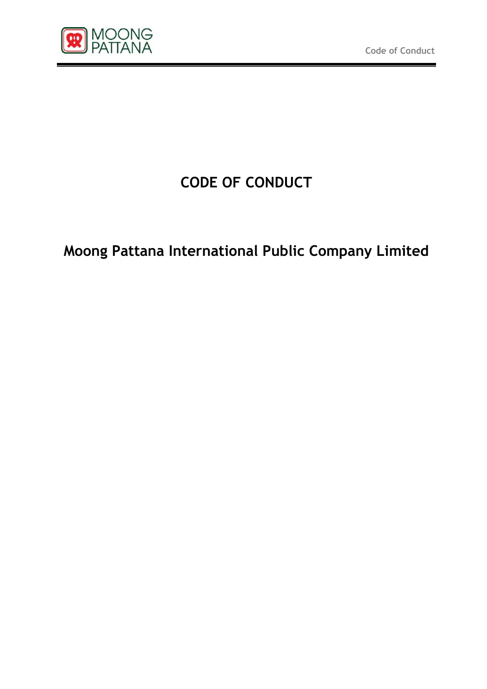

# **CODE OF CONDUCT**

# **Moong Pattana International Public Company Limited**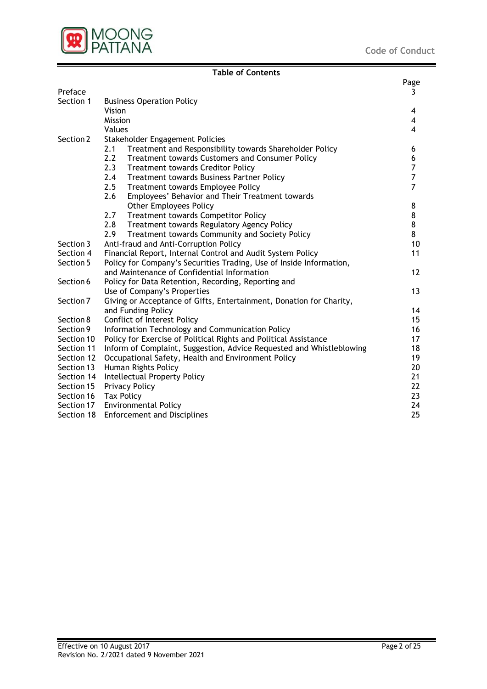

#### Page Preface 3 Section 1 Business Operation Policy Vision 4 Mission 4 Values 4 Section 2 Stakeholder Engagement Policies 2.1 Treatment and Responsibility towards Shareholder Policy 6 2.2 Treatment towards Customers and Consumer Policy<br>2.3 Treatment towards Creditor Policy 6 2.3 Treatment towards Creditor Policy 2.4 Treatment towards Business Partner Policy<br>2.5 Treatment towards Employee Policy 7 2.5 Treatment towards Employee Policy 2.6 Employees' Behavior and Their Treatment towards Other Employees Policy 8 2.7 Treatment towards Competitor Policy 8 2.8 Treatment towards Regulatory Agency Policy 8 2.9 Treatment towards Community and Society Policy 8 Section 3 Anti-fraud and Anti-Corruption Policy 10 and 10 and 10 and 10 and 10 and 10 and 10 and 10 and 10 and 10 and 10 and 10 and 10 and 10 and 10 and 10 and 10 and 10 and 10 and 10 and 10 and 10 and 10 and 10 and 10 and Section 4 Financial Report, Internal Control and Audit System Policy 11 Section 5 Policy for Company's Securities Trading, Use of Inside Information, and Maintenance of Confidential Information 12 Section 6 Policy for Data Retention, Recording, Reporting and Use of Company's Properties 13 Section 7 Giving or Acceptance of Gifts, Entertainment, Donation for Charity, and Funding Policy 14 Section 8 Conflict of Interest Policy 15 Section 9 Information Technology and Communication Policy 16 16 Section 10 Policy for Exercise of Political Rights and Political Assistance 17 Section 11 Inform of Complaint, Suggestion, Advice Requested and Whistleblowing 18 Section 12 Occupational Safety, Health and Environment Policy 19 19 Section 13 Human Rights Policy 20 Section 14 Intellectual Property Policy 21 21 Section 15 Privacy Policy 22 Section 16 Tax Policy 23 Section 17 Environmental Policy 24 Section 18 Enforcement and Disciplines 25

**Table of Contents**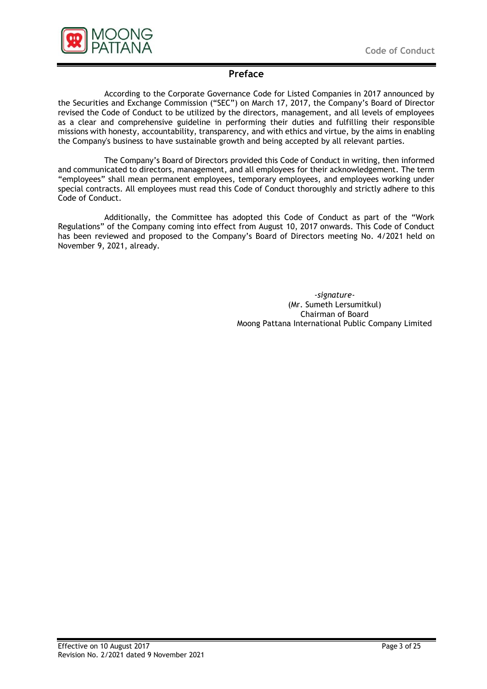



# **Preface**

According to the Corporate Governance Code for Listed Companies in 2017 announced by the Securities and Exchange Commission ("SEC") on March 17, 2017, the Company's Board of Director revised the Code of Conduct to be utilized by the directors, management, and all levels of employees as a clear and comprehensive guideline in performing their duties and fulfilling their responsible missions with honesty, accountability, transparency, and with ethics and virtue, by the aims in enabling the Company's business to have sustainable growth and being accepted by all relevant parties.

The Company's Board of Directors provided this Code of Conduct in writing, then informed and communicated to directors, management, and all employees for their acknowledgement. The term "employees" shall mean permanent employees, temporary employees, and employees working under special contracts. All employees must read this Code of Conduct thoroughly and strictly adhere to this Code of Conduct.

Additionally, the Committee has adopted this Code of Conduct as part of the "Work Regulations" of the Company coming into effect from August 10, 2017 onwards. This Code of Conduct has been reviewed and proposed to the Company's Board of Directors meeting No. 4/2021 held on November 9, 2021, already.

> *-signature-* (Mr. Sumeth Lersumitkul) Chairman of Board Moong Pattana International Public Company Limited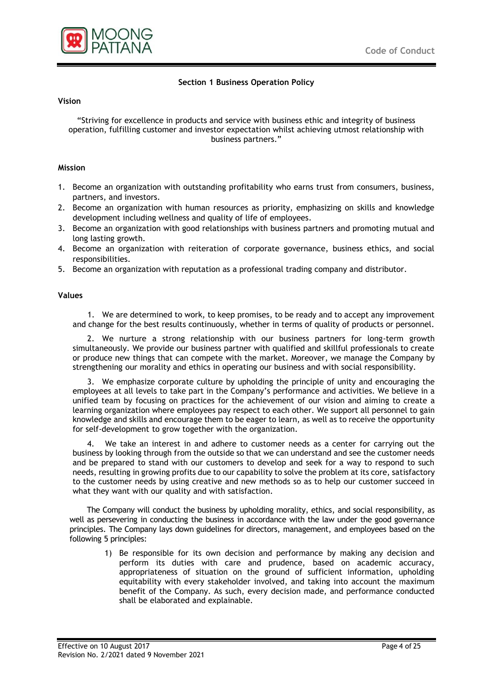



# **Section 1 Business Operation Policy**

#### **Vision**

"Striving for excellence in products and service with business ethic and integrity of business operation, fulfilling customer and investor expectation whilst achieving utmost relationship with business partners."

#### **Mission**

- 1. Become an organization with outstanding profitability who earns trust from consumers, business, partners, and investors.
- 2. Become an organization with human resources as priority, emphasizing on skills and knowledge development including wellness and quality of life of employees.
- 3. Become an organization with good relationships with business partners and promoting mutual and long lasting growth.
- 4. Become an organization with reiteration of corporate governance, business ethics, and social responsibilities.
- 5. Become an organization with reputation as a professional trading company and distributor.

#### **Values**

1. We are determined to work, to keep promises, to be ready and to accept any improvement and change for the best results continuously, whether in terms of quality of products or personnel.

2. We nurture a strong relationship with our business partners for long-term growth simultaneously. We provide our business partner with qualified and skillful professionals to create or produce new things that can compete with the market. Moreover, we manage the Company by strengthening our morality and ethics in operating our business and with social responsibility.

3. We emphasize corporate culture by upholding the principle of unity and encouraging the employees at all levels to take part in the Company's performance and activities. We believe in a unified team by focusing on practices for the achievement of our vision and aiming to create a learning organization where employees pay respect to each other. We support all personnel to gain knowledge and skills and encourage them to be eager to learn, as well as to receive the opportunity for self-development to grow together with the organization.

4. We take an interest in and adhere to customer needs as a center for carrying out the business by looking through from the outside so that we can understand and see the customer needs and be prepared to stand with our customers to develop and seek for a way to respond to such needs, resulting in growing profits due to our capability to solve the problem at its core, satisfactory to the customer needs by using creative and new methods so as to help our customer succeed in what they want with our quality and with satisfaction.

The Company will conduct the business by upholding morality, ethics, and social responsibility, as well as persevering in conducting the business in accordance with the law under the good governance principles. The Company lays down guidelines for directors, management, and employees based on the following 5 principles:

1) Be responsible for its own decision and performance by making any decision and perform its duties with care and prudence, based on academic accuracy, appropriateness of situation on the ground of sufficient information, upholding equitability with every stakeholder involved, and taking into account the maximum benefit of the Company. As such, every decision made, and performance conducted shall be elaborated and explainable.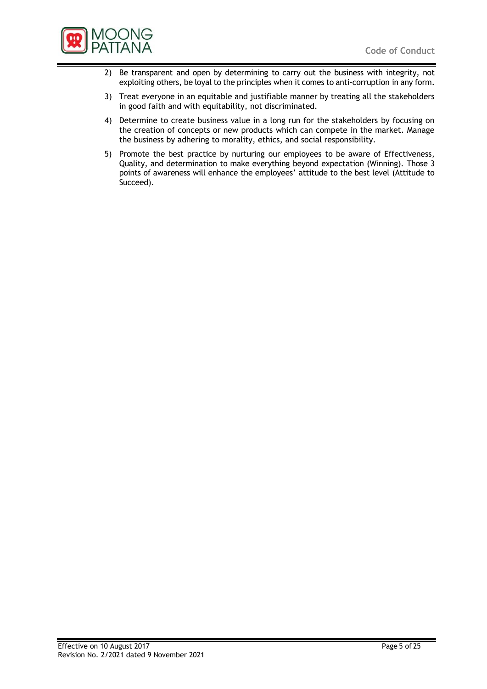

- 2) Be transparent and open by determining to carry out the business with integrity, not exploiting others, be loyal to the principles when it comes to anti-corruption in any form.
- 3) Treat everyone in an equitable and justifiable manner by treating all the stakeholders in good faith and with equitability, not discriminated.
- 4) Determine to create business value in a long run for the stakeholders by focusing on the creation of concepts or new products which can compete in the market. Manage the business by adhering to morality, ethics, and social responsibility.
- 5) Promote the best practice by nurturing our employees to be aware of Effectiveness, Quality, and determination to make everything beyond expectation (Winning). Those 3 points of awareness will enhance the employees' attitude to the best level (Attitude to Succeed).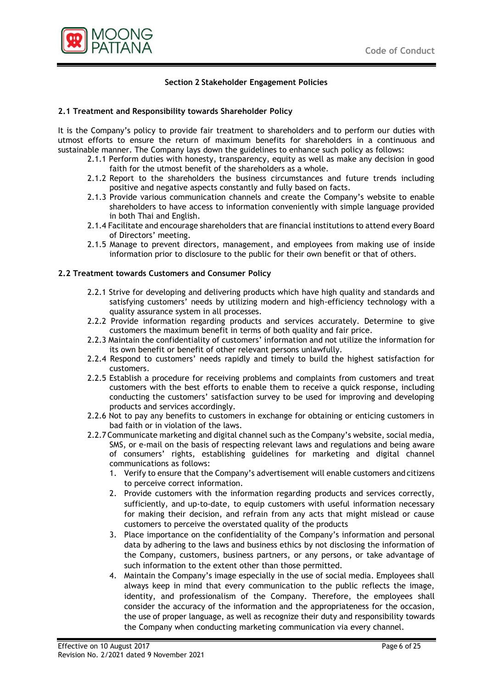

# **Section 2 Stakeholder Engagement Policies**

#### **2.1 Treatment and Responsibility towards Shareholder Policy**

It is the Company's policy to provide fair treatment to shareholders and to perform our duties with utmost efforts to ensure the return of maximum benefits for shareholders in a continuous and sustainable manner. The Company lays down the guidelines to enhance such policy as follows:

- 2.1.1 Perform duties with honesty, transparency, equity as well as make any decision in good faith for the utmost benefit of the shareholders as a whole.
- 2.1.2 Report to the shareholders the business circumstances and future trends including positive and negative aspects constantly and fully based on facts.
- 2.1.3 Provide various communication channels and create the Company's website to enable shareholders to have access to information conveniently with simple language provided in both Thai and English.
- 2.1.4 Facilitate and encourage shareholders that are financial institutions to attend every Board of Directors' meeting.
- 2.1.5 Manage to prevent directors, management, and employees from making use of inside information prior to disclosure to the public for their own benefit or that of others.

#### **2.2 Treatment towards Customers and Consumer Policy**

- 2.2.1 Strive for developing and delivering products which have high quality and standards and satisfying customers' needs by utilizing modern and high-efficiency technology with a quality assurance system in all processes.
- 2.2.2 Provide information regarding products and services accurately. Determine to give customers the maximum benefit in terms of both quality and fair price.
- 2.2.3 Maintain the confidentiality of customers' information and not utilize the information for its own benefit or benefit of other relevant persons unlawfully.
- 2.2.4 Respond to customers' needs rapidly and timely to build the highest satisfaction for customers.
- 2.2.5 Establish a procedure for receiving problems and complaints from customers and treat customers with the best efforts to enable them to receive a quick response, including conducting the customers' satisfaction survey to be used for improving and developing products and services accordingly.
- 2.2.6 Not to pay any benefits to customers in exchange for obtaining or enticing customers in bad faith or in violation of the laws.
- 2.2.7 Communicate marketing and digital channel such as the Company's website, social media, SMS, or e-mail on the basis of respecting relevant laws and regulations and being aware of consumers' rights, establishing guidelines for marketing and digital channel communications as follows:
	- 1. Verify to ensure that the Company's advertisement will enable customers and citizens to perceive correct information.
	- 2. Provide customers with the information regarding products and services correctly, sufficiently, and up-to-date, to equip customers with useful information necessary for making their decision, and refrain from any acts that might mislead or cause customers to perceive the overstated quality of the products
	- 3. Place importance on the confidentiality of the Company's information and personal data by adhering to the laws and business ethics by not disclosing the information of the Company, customers, business partners, or any persons, or take advantage of such information to the extent other than those permitted.
	- 4. Maintain the Company's image especially in the use of social media. Employees shall always keep in mind that every communication to the public reflects the image, identity, and professionalism of the Company. Therefore, the employees shall consider the accuracy of the information and the appropriateness for the occasion, the use of proper language, as well as recognize their duty and responsibility towards the Company when conducting marketing communication via every channel.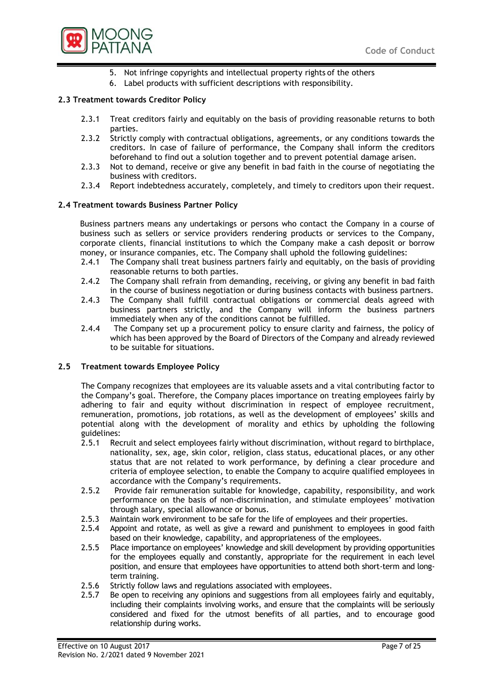

- 5. Not infringe copyrights and intellectual property rights of the others
- 6. Label products with sufficient descriptions with responsibility.

## **2.3 Treatment towards Creditor Policy**

- 2.3.1 Treat creditors fairly and equitably on the basis of providing reasonable returns to both parties.
- 2.3.2 Strictly comply with contractual obligations, agreements, or any conditions towards the creditors. In case of failure of performance, the Company shall inform the creditors beforehand to find out a solution together and to prevent potential damage arisen.
- 2.3.3 Not to demand, receive or give any benefit in bad faith in the course of negotiating the business with creditors.
- 2.3.4 Report indebtedness accurately, completely, and timely to creditors upon their request.

## **2.4 Treatment towards Business Partner Policy**

Business partners means any undertakings or persons who contact the Company in a course of business such as sellers or service providers rendering products or services to the Company, corporate clients, financial institutions to which the Company make a cash deposit or borrow money, or insurance companies, etc. The Company shall uphold the following guidelines:

- 2.4.1 The Company shall treat business partners fairly and equitably, on the basis of providing reasonable returns to both parties.
- 2.4.2 The Company shall refrain from demanding, receiving, or giving any benefit in bad faith in the course of business negotiation or during business contacts with business partners.
- 2.4.3 The Company shall fulfill contractual obligations or commercial deals agreed with business partners strictly, and the Company will inform the business partners immediately when any of the conditions cannot be fulfilled.
- 2.4.4 The Company set up a procurement policy to ensure clarity and fairness, the policy of which has been approved by the Board of Directors of the Company and already reviewed to be suitable for situations.

## **2.5 Treatment towards Employee Policy**

The Company recognizes that employees are its valuable assets and a vital contributing factor to the Company's goal. Therefore, the Company places importance on treating employees fairly by adhering to fair and equity without discrimination in respect of employee recruitment, remuneration, promotions, job rotations, as well as the development of employees' skills and potential along with the development of morality and ethics by upholding the following guidelines:

- 2.5.1 Recruit and select employees fairly without discrimination, without regard to birthplace, nationality, sex, age, skin color, religion, class status, educational places, or any other status that are not related to work performance, by defining a clear procedure and criteria of employee selection, to enable the Company to acquire qualified employees in accordance with the Company's requirements.
- 2.5.2 Provide fair remuneration suitable for knowledge, capability, responsibility, and work performance on the basis of non-discrimination, and stimulate employees' motivation through salary, special allowance or bonus.
- 2.5.3 Maintain work environment to be safe for the life of employees and their properties.
- 2.5.4 Appoint and rotate, as well as give a reward and punishment to employees in good faith based on their knowledge, capability, and appropriateness of the employees.
- 2.5.5 Place importance on employees' knowledge and skill development by providing opportunities for the employees equally and constantly, appropriate for the requirement in each level position, and ensure that employees have opportunities to attend both short-term and longterm training.
- 2.5.6 Strictly follow laws and regulations associated with employees.
- 2.5.7 Be open to receiving any opinions and suggestions from all employees fairly and equitably, including their complaints involving works, and ensure that the complaints will be seriously considered and fixed for the utmost benefits of all parties, and to encourage good relationship during works.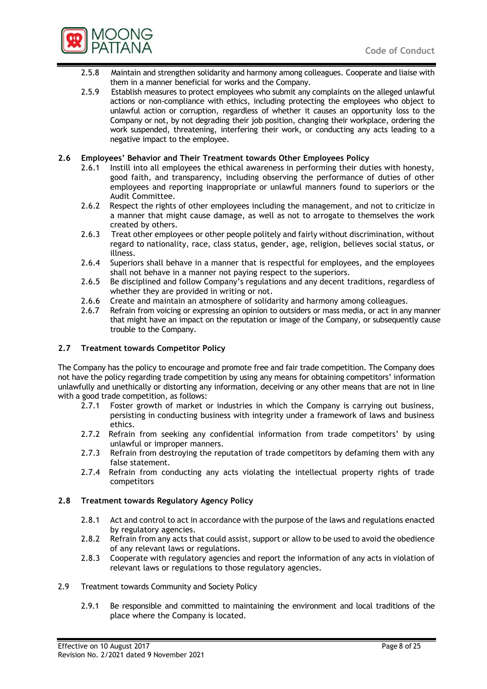

- 2.5.8 Maintain and strengthen solidarity and harmony among colleagues. Cooperate and liaise with them in a manner beneficial for works and the Company.
- 2.5.9 Establish measures to protect employees who submit any complaints on the alleged unlawful actions or non-compliance with ethics, including protecting the employees who object to unlawful action or corruption, regardless of whether it causes an opportunity loss to the Company or not, by not degrading their job position, changing their workplace, ordering the work suspended, threatening, interfering their work, or conducting any acts leading to a negative impact to the employee.

#### **2.6 Employees' Behavior and Their Treatment towards Other Employees Policy**

- 2.6.1 Instill into all employees the ethical awareness in performing their duties with honesty, good faith, and transparency, including observing the performance of duties of other employees and reporting inappropriate or unlawful manners found to superiors or the Audit Committee.
- 2.6.2 Respect the rights of other employees including the management, and not to criticize in a manner that might cause damage, as well as not to arrogate to themselves the work created by others.
- 2.6.3 Treat other employees or other people politely and fairly without discrimination, without regard to nationality, race, class status, gender, age, religion, believes social status, or illness.
- 2.6.4 Superiors shall behave in a manner that is respectful for employees, and the employees shall not behave in a manner not paying respect to the superiors.
- 2.6.5 Be disciplined and follow Company's regulations and any decent traditions, regardless of whether they are provided in writing or not.
- 2.6.6 Create and maintain an atmosphere of solidarity and harmony among colleagues.
- 2.6.7 Refrain from voicing or expressing an opinion to outsiders or mass media, or act in any manner that might have an impact on the reputation or image of the Company, or subsequently cause trouble to the Company.

## **2.7 Treatment towards Competitor Policy**

The Company has the policy to encourage and promote free and fair trade competition. The Company does not have the policy regarding trade competition by using any means for obtaining competitors' information unlawfully and unethically or distorting any information, deceiving or any other means that are not in line with a good trade competition, as follows:

- 2.7.1 Foster growth of market or industries in which the Company is carrying out business, persisting in conducting business with integrity under a framework of laws and business ethics.
- 2.7.2 Refrain from seeking any confidential information from trade competitors' by using unlawful or improper manners.
- 2.7.3 Refrain from destroying the reputation of trade competitors by defaming them with any false statement.
- 2.7.4 Refrain from conducting any acts violating the intellectual property rights of trade competitors

## **2.8 Treatment towards Regulatory Agency Policy**

- 2.8.1 Act and control to act in accordance with the purpose of the laws and regulations enacted by regulatory agencies.
- 2.8.2 Refrain from any acts that could assist, support or allow to be used to avoid the obedience of any relevant laws or regulations.
- 2.8.3 Cooperate with regulatory agencies and report the information of any acts in violation of relevant laws or regulations to those regulatory agencies.
- 2.9 Treatment towards Community and Society Policy
	- 2.9.1 Be responsible and committed to maintaining the environment and local traditions of the place where the Company is located.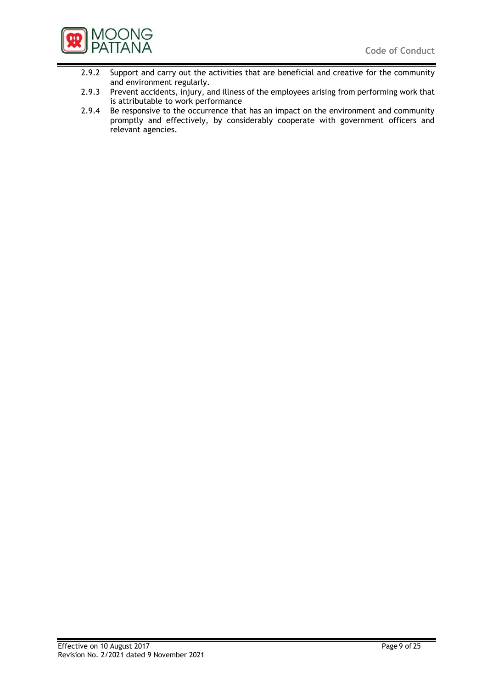

- 2.9.2 Support and carry out the activities that are beneficial and creative for the community and environment regularly.
- 2.9.3 Prevent accidents, injury, and illness of the employees arising from performing work that is attributable to work performance
- 2.9.4 Be responsive to the occurrence that has an impact on the environment and community promptly and effectively, by considerably cooperate with government officers and relevant agencies.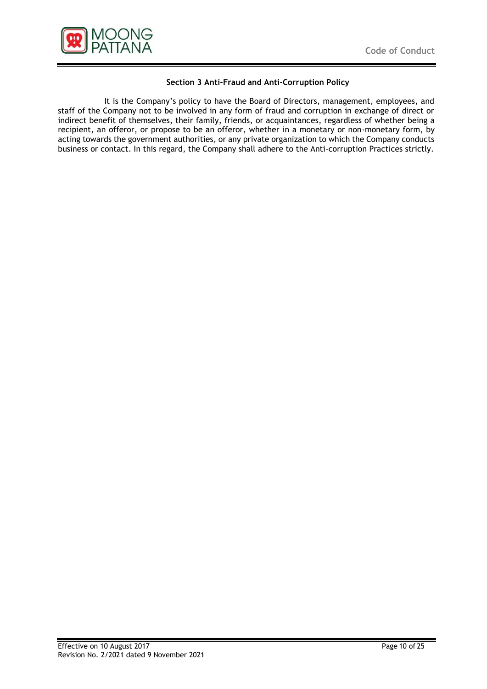

# **Section 3 Anti-Fraud and Anti-Corruption Policy**

It is the Company's policy to have the Board of Directors, management, employees, and staff of the Company not to be involved in any form of fraud and corruption in exchange of direct or indirect benefit of themselves, their family, friends, or acquaintances, regardless of whether being a recipient, an offeror, or propose to be an offeror, whether in a monetary or non-monetary form, by acting towards the government authorities, or any private organization to which the Company conducts business or contact. In this regard, the Company shall adhere to the Anti-corruption Practices strictly.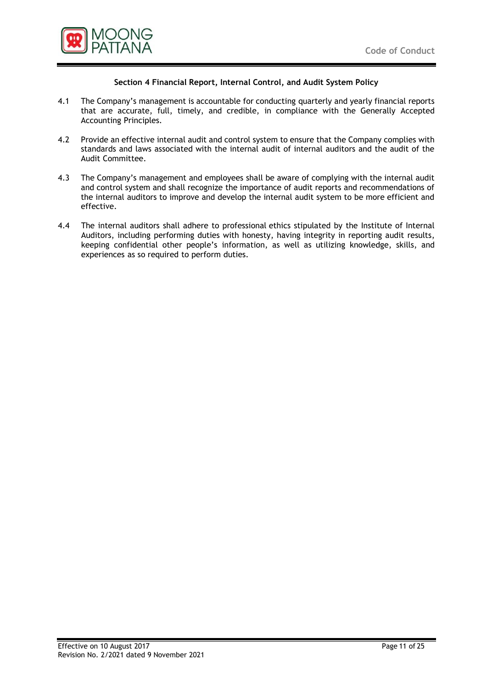

## **Section 4 Financial Report, Internal Control, and Audit System Policy**

- 4.1 The Company's management is accountable for conducting quarterly and yearly financial reports that are accurate, full, timely, and credible, in compliance with the Generally Accepted Accounting Principles.
- 4.2 Provide an effective internal audit and control system to ensure that the Company complies with standards and laws associated with the internal audit of internal auditors and the audit of the Audit Committee.
- 4.3 The Company's management and employees shall be aware of complying with the internal audit and control system and shall recognize the importance of audit reports and recommendations of the internal auditors to improve and develop the internal audit system to be more efficient and effective.
- 4.4 The internal auditors shall adhere to professional ethics stipulated by the Institute of Internal Auditors, including performing duties with honesty, having integrity in reporting audit results, keeping confidential other people's information, as well as utilizing knowledge, skills, and experiences as so required to perform duties.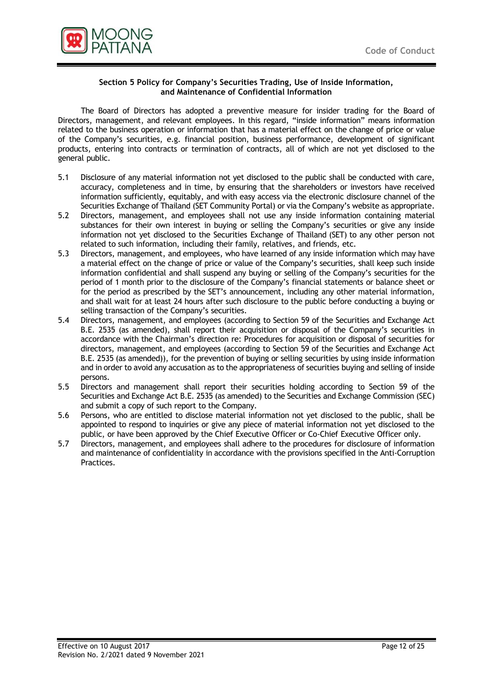

#### **Section 5 Policy for Company's Securities Trading, Use of Inside Information, and Maintenance of Confidential Information**

The Board of Directors has adopted a preventive measure for insider trading for the Board of Directors, management, and relevant employees. In this regard, "inside information" means information related to the business operation or information that has a material effect on the change of price or value of the Company's securities, e.g. financial position, business performance, development of significant products, entering into contracts or termination of contracts, all of which are not yet disclosed to the general public.

- 5.1 Disclosure of any material information not yet disclosed to the public shall be conducted with care, accuracy, completeness and in time, by ensuring that the shareholders or investors have received information sufficiently, equitably, and with easy access via the electronic disclosure channel of the Securities Exchange of Thailand (SET Community Portal) or via the Company's website as appropriate.
- 5.2 Directors, management, and employees shall not use any inside information containing material substances for their own interest in buying or selling the Company's securities or give any inside information not yet disclosed to the Securities Exchange of Thailand (SET) to any other person not related to such information, including their family, relatives, and friends, etc.
- 5.3 Directors, management, and employees, who have learned of any inside information which may have a material effect on the change of price or value of the Company's securities, shall keep such inside information confidential and shall suspend any buying or selling of the Company's securities for the period of 1 month prior to the disclosure of the Company's financial statements or balance sheet or for the period as prescribed by the SET's announcement, including any other material information, and shall wait for at least 24 hours after such disclosure to the public before conducting a buying or selling transaction of the Company's securities.
- 5.4 Directors, management, and employees (according to Section 59 of the Securities and Exchange Act B.E. 2535 (as amended), shall report their acquisition or disposal of the Company's securities in accordance with the Chairman's direction re: Procedures for acquisition or disposal of securities for directors, management, and employees (according to Section 59 of the Securities and Exchange Act B.E. 2535 (as amended)), for the prevention of buying or selling securities by using inside information and in order to avoid any accusation as to the appropriateness of securities buying and selling of inside persons.
- 5.5 Directors and management shall report their securities holding according to Section 59 of the Securities and Exchange Act B.E. 2535 (as amended) to the Securities and Exchange Commission (SEC) and submit a copy of such report to the Company.
- 5.6 Persons, who are entitled to disclose material information not yet disclosed to the public, shall be appointed to respond to inquiries or give any piece of material information not yet disclosed to the public, or have been approved by the Chief Executive Officer or Co-Chief Executive Officer only.
- 5.7 Directors, management, and employees shall adhere to the procedures for disclosure of information and maintenance of confidentiality in accordance with the provisions specified in the Anti-Corruption Practices.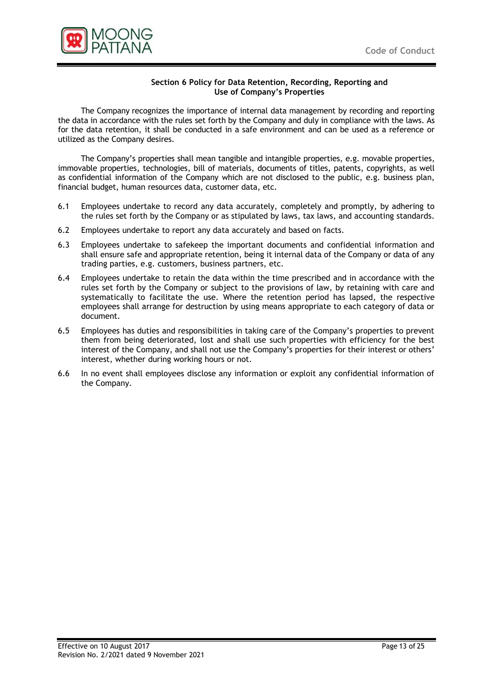

#### **Section 6 Policy for Data Retention, Recording, Reporting and Use of Company's Properties**

The Company recognizes the importance of internal data management by recording and reporting the data in accordance with the rules set forth by the Company and duly in compliance with the laws. As for the data retention, it shall be conducted in a safe environment and can be used as a reference or utilized as the Company desires.

The Company's properties shall mean tangible and intangible properties, e.g. movable properties, immovable properties, technologies, bill of materials, documents of titles, patents, copyrights, as well as confidential information of the Company which are not disclosed to the public, e.g. business plan, financial budget, human resources data, customer data, etc.

- 6.1 Employees undertake to record any data accurately, completely and promptly, by adhering to the rules set forth by the Company or as stipulated by laws, tax laws, and accounting standards.
- 6.2 Employees undertake to report any data accurately and based on facts.
- 6.3 Employees undertake to safekeep the important documents and confidential information and shall ensure safe and appropriate retention, being it internal data of the Company or data of any trading parties, e.g. customers, business partners, etc.
- 6.4 Employees undertake to retain the data within the time prescribed and in accordance with the rules set forth by the Company or subject to the provisions of law, by retaining with care and systematically to facilitate the use. Where the retention period has lapsed, the respective employees shall arrange for destruction by using means appropriate to each category of data or document.
- 6.5 Employees has duties and responsibilities in taking care of the Company's properties to prevent them from being deteriorated, lost and shall use such properties with efficiency for the best interest of the Company, and shall not use the Company's properties for their interest or others' interest, whether during working hours or not.
- 6.6 In no event shall employees disclose any information or exploit any confidential information of the Company.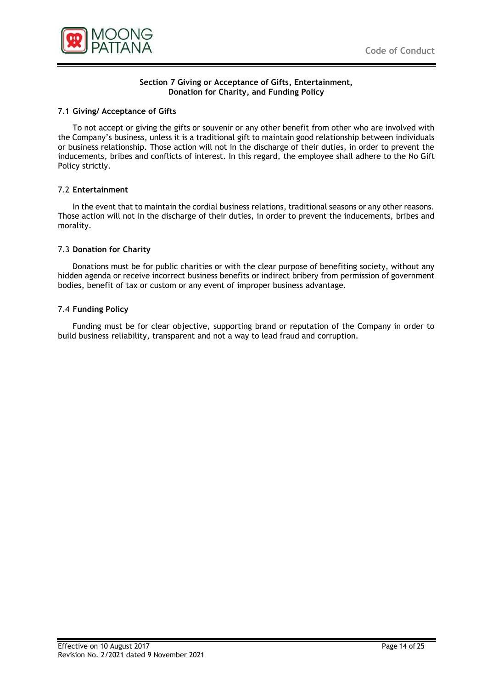

#### **Section 7 Giving or Acceptance of Gifts, Entertainment, Donation for Charity, and Funding Policy**

#### 7.1 **Giving/ Acceptance of Gifts**

To not accept or giving the gifts or souvenir or any other benefit from other who are involved with the Company's business, unless it is a traditional gift to maintain good relationship between individuals or business relationship. Those action will not in the discharge of their duties, in order to prevent the inducements, bribes and conflicts of interest. In this regard, the employee shall adhere to the No Gift Policy strictly.

#### 7.2 **Entertainment**

In the event that to maintain the cordial business relations, traditional seasons or any other reasons. Those action will not in the discharge of their duties, in order to prevent the inducements, bribes and morality.

#### 7.3 **Donation for Charity**

Donations must be for public charities or with the clear purpose of benefiting society, without any hidden agenda or receive incorrect business benefits or indirect bribery from permission of government bodies, benefit of tax or custom or any event of improper business advantage.

#### 7.4 **Funding Policy**

Funding must be for clear objective, supporting brand or reputation of the Company in order to build business reliability, transparent and not a way to lead fraud and corruption.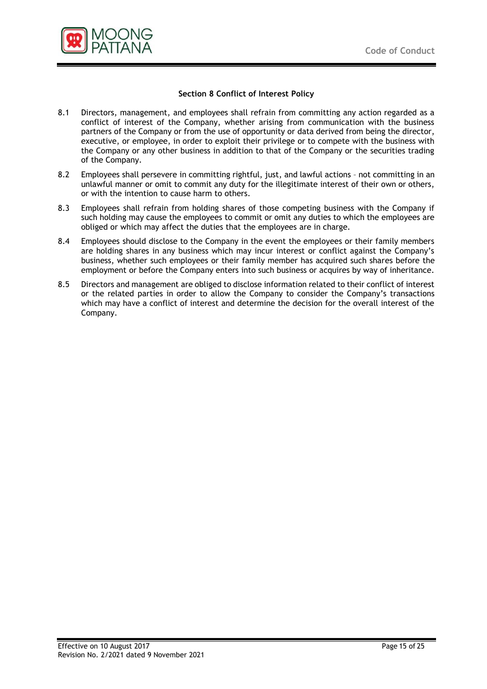

# **Section 8 Conflict of Interest Policy**

- 8.1 Directors, management, and employees shall refrain from committing any action regarded as a conflict of interest of the Company, whether arising from communication with the business partners of the Company or from the use of opportunity or data derived from being the director, executive, or employee, in order to exploit their privilege or to compete with the business with the Company or any other business in addition to that of the Company or the securities trading of the Company.
- 8.2 Employees shall persevere in committing rightful, just, and lawful actions not committing in an unlawful manner or omit to commit any duty for the illegitimate interest of their own or others, or with the intention to cause harm to others.
- 8.3 Employees shall refrain from holding shares of those competing business with the Company if such holding may cause the employees to commit or omit any duties to which the employees are obliged or which may affect the duties that the employees are in charge.
- 8.4 Employees should disclose to the Company in the event the employees or their family members are holding shares in any business which may incur interest or conflict against the Company's business, whether such employees or their family member has acquired such shares before the employment or before the Company enters into such business or acquires by way of inheritance.
- 8.5 Directors and management are obliged to disclose information related to their conflict of interest or the related parties in order to allow the Company to consider the Company's transactions which may have a conflict of interest and determine the decision for the overall interest of the Company.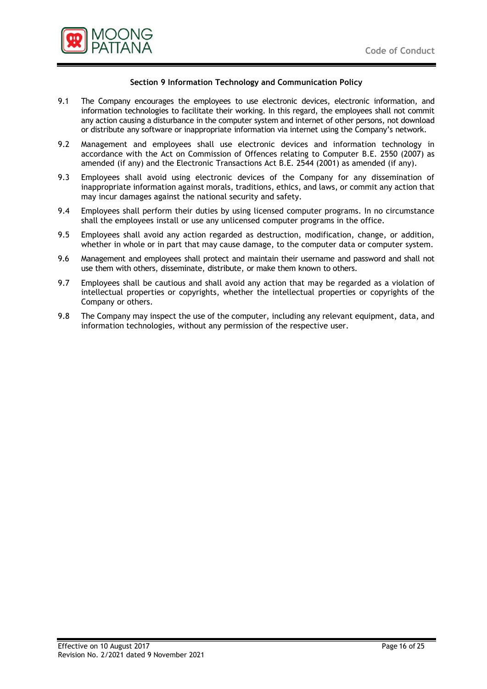

## **Section 9 Information Technology and Communication Policy**

- 9.1 The Company encourages the employees to use electronic devices, electronic information, and information technologies to facilitate their working. In this regard, the employees shall not commit any action causing a disturbance in the computer system and internet of other persons, not download or distribute any software or inappropriate information via internet using the Company's network.
- 9.2 Management and employees shall use electronic devices and information technology in accordance with the Act on Commission of Offences relating to Computer B.E. 2550 (2007) as amended (if any) and the Electronic Transactions Act B.E. 2544 (2001) as amended (if any).
- 9.3 Employees shall avoid using electronic devices of the Company for any dissemination of inappropriate information against morals, traditions, ethics, and laws, or commit any action that may incur damages against the national security and safety.
- 9.4 Employees shall perform their duties by using licensed computer programs. In no circumstance shall the employees install or use any unlicensed computer programs in the office.
- 9.5 Employees shall avoid any action regarded as destruction, modification, change, or addition, whether in whole or in part that may cause damage, to the computer data or computer system.
- 9.6 Management and employees shall protect and maintain their username and password and shall not use them with others, disseminate, distribute, or make them known to others.
- 9.7 Employees shall be cautious and shall avoid any action that may be regarded as a violation of intellectual properties or copyrights, whether the intellectual properties or copyrights of the Company or others.
- 9.8 The Company may inspect the use of the computer, including any relevant equipment, data, and information technologies, without any permission of the respective user.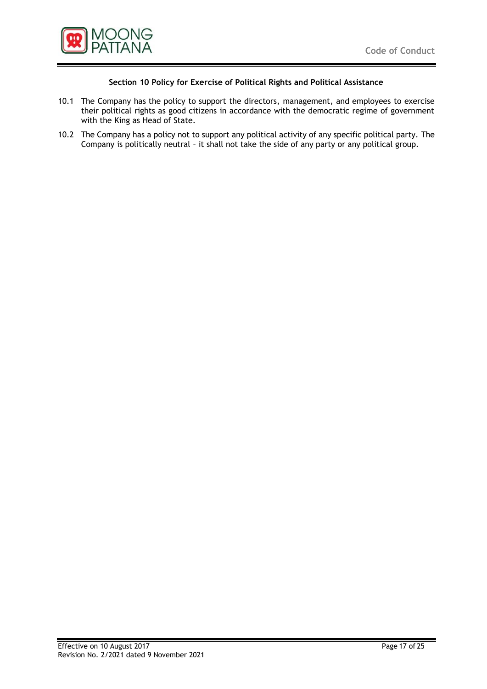

# **Section 10 Policy for Exercise of Political Rights and Political Assistance**

- 10.1 The Company has the policy to support the directors, management, and employees to exercise their political rights as good citizens in accordance with the democratic regime of government with the King as Head of State.
- 10.2 The Company has a policy not to support any political activity of any specific political party. The Company is politically neutral – it shall not take the side of any party or any political group.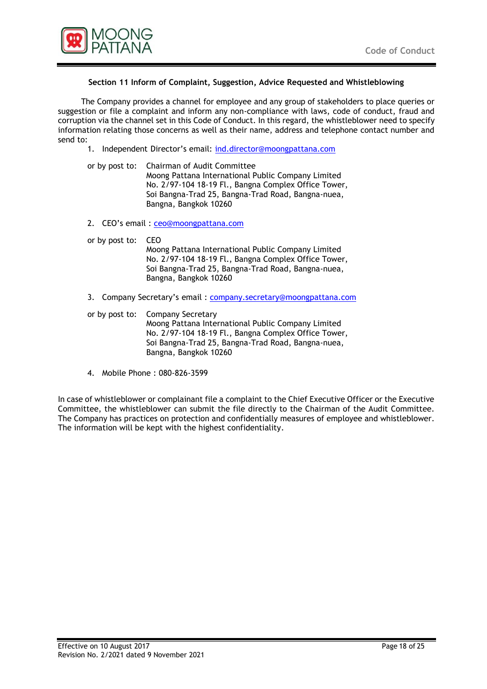

## **Section 11 Inform of Complaint, Suggestion, Advice Requested and Whistleblowing**

The Company provides a channel for employee and any group of stakeholders to place queries or suggestion or file a complaint and inform any non-compliance with laws, code of conduct, fraud and corruption via the channel set in this Code of Conduct. In this regard, the whistleblower need to specify information relating those concerns as well as their name, address and telephone contact number and send to:

- 1. Independent Director's email: [ind.director@moongpattana.com](mailto:ind.director@moongpattana.com)
- or by post to: Chairman of Audit Committee Moong Pattana International Public Company Limited No. 2/97-104 18-19 Fl., Bangna Complex Office Tower, Soi Bangna-Trad 25, Bangna-Trad Road, Bangna-nuea, Bangna, Bangkok 10260
- 2. CEO's email : [ceo@moongpattana.com](mailto:ceo@moongpattana.com)
- or by post to: CEO Moong Pattana International Public Company Limited No. 2/97-104 18-19 Fl., Bangna Complex Office Tower, Soi Bangna-Trad 25, Bangna-Trad Road, Bangna-nuea, Bangna, Bangkok 10260
- 3. Company Secretary's email: [company.secretary@moongpattana.com](mailto:company.secretary@moongpattana.com)
- or by post to: Company Secretary Moong Pattana International Public Company Limited No. 2/97-104 18-19 Fl., Bangna Complex Office Tower, Soi Bangna-Trad 25, Bangna-Trad Road, Bangna-nuea, Bangna, Bangkok 10260
- 4. Mobile Phone : 080-826-3599

In case of whistleblower or complainant file a complaint to the Chief Executive Officer or the Executive Committee, the whistleblower can submit the file directly to the Chairman of the Audit Committee. The Company has practices on protection and confidentially measures of employee and whistleblower. The information will be kept with the highest confidentiality.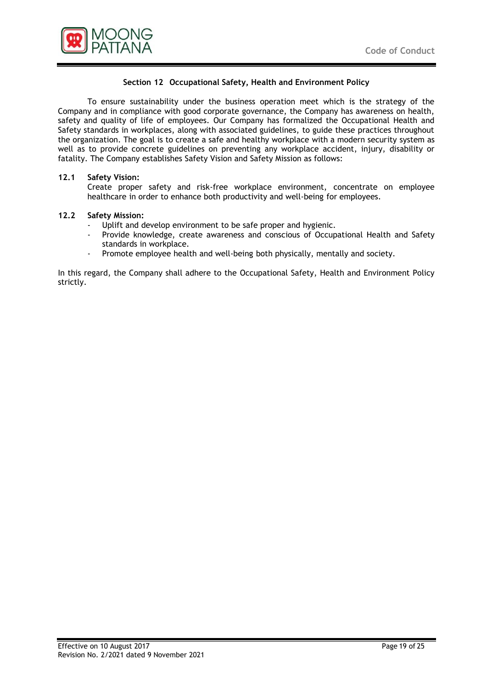

# **Section 12 Occupational Safety, Health and Environment Policy**

To ensure sustainability under the business operation meet which is the strategy of the Company and in compliance with good corporate governance, the Company has awareness on health, safety and quality of life of employees. Our Company has formalized the Occupational Health and Safety standards in workplaces, along with associated guidelines, to guide these practices throughout the organization. The goal is to create a safe and healthy workplace with a modern security system as well as to provide concrete guidelines on preventing any workplace accident, injury, disability or fatality. The Company establishes Safety Vision and Safety Mission as follows:

## **12.1 Safety Vision:**

Create proper safety and risk-free workplace environment, concentrate on employee healthcare in order to enhance both productivity and well-being for employees.

## **12.2 Safety Mission:**

- Uplift and develop environment to be safe proper and hygienic.
- Provide knowledge, create awareness and conscious of Occupational Health and Safety standards in workplace.
- Promote employee health and well-being both physically, mentally and society.

In this regard, the Company shall adhere to the Occupational Safety, Health and Environment Policy strictly.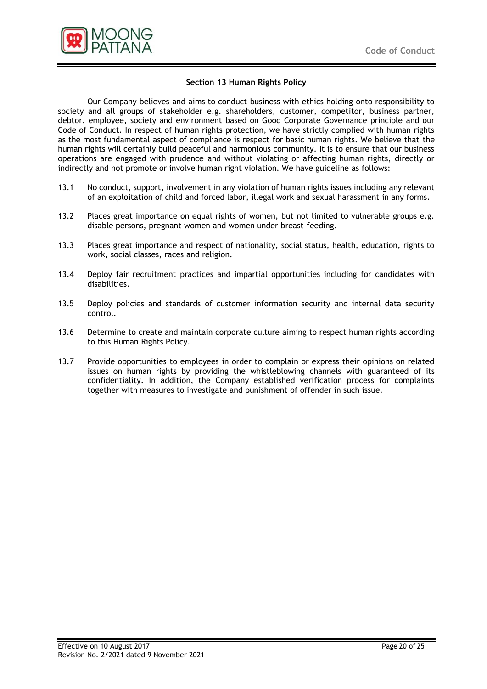

#### **Section 13 Human Rights Policy**

Our Company believes and aims to conduct business with ethics holding onto responsibility to society and all groups of stakeholder e.g. shareholders, customer, competitor, business partner, debtor, employee, society and environment based on Good Corporate Governance principle and our Code of Conduct. In respect of human rights protection, we have strictly complied with human rights as the most fundamental aspect of compliance is respect for basic human rights. We believe that the human rights will certainly build peaceful and harmonious community. It is to ensure that our business operations are engaged with prudence and without violating or affecting human rights, directly or indirectly and not promote or involve human right violation. We have guideline as follows:

- 13.1 No conduct, support, involvement in any violation of human rights issues including any relevant of an exploitation of child and forced labor, illegal work and sexual harassment in any forms.
- 13.2 Places great importance on equal rights of women, but not limited to vulnerable groups e.g. disable persons, pregnant women and women under breast-feeding.
- 13.3 Places great importance and respect of nationality, social status, health, education, rights to work, social classes, races and religion.
- 13.4 Deploy fair recruitment practices and impartial opportunities including for candidates with disabilities.
- 13.5 Deploy policies and standards of customer information security and internal data security control.
- 13.6 Determine to create and maintain corporate culture aiming to respect human rights according to this Human Rights Policy.
- 13.7 Provide opportunities to employees in order to complain or express their opinions on related issues on human rights by providing the whistleblowing channels with guaranteed of its confidentiality. In addition, the Company established verification process for complaints together with measures to investigate and punishment of offender in such issue.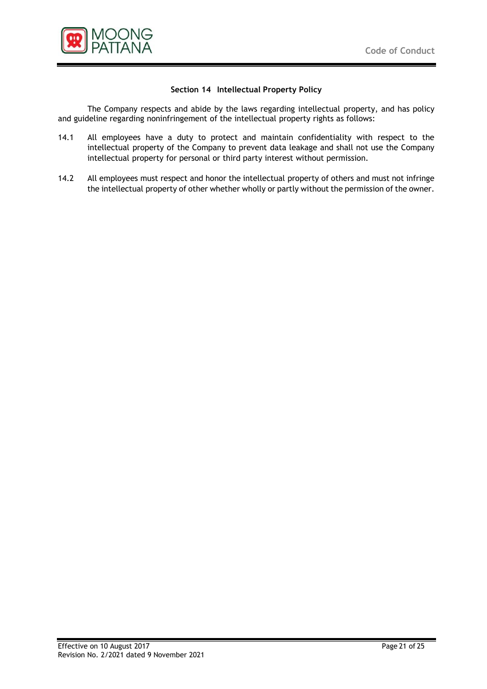

# **Section 14 Intellectual Property Policy**

The Company respects and abide by the laws regarding intellectual property, and has policy and guideline regarding noninfringement of the intellectual property rights as follows:

- 14.1 All employees have a duty to protect and maintain confidentiality with respect to the intellectual property of the Company to prevent data leakage and shall not use the Company intellectual property for personal or third party interest without permission.
- 14.2 All employees must respect and honor the intellectual property of others and must not infringe the intellectual property of other whether wholly or partly without the permission of the owner.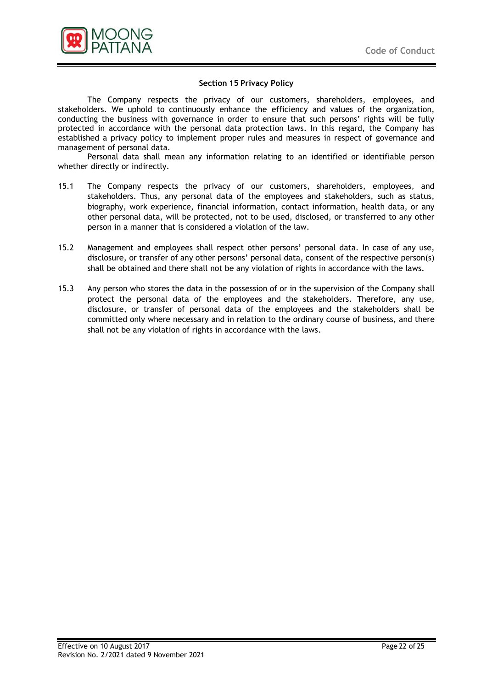

## **Section 15 Privacy Policy**

The Company respects the privacy of our customers, shareholders, employees, and stakeholders. We uphold to continuously enhance the efficiency and values of the organization, conducting the business with governance in order to ensure that such persons' rights will be fully protected in accordance with the personal data protection laws. In this regard, the Company has established a privacy policy to implement proper rules and measures in respect of governance and management of personal data.

Personal data shall mean any information relating to an identified or identifiable person whether directly or indirectly.

- 15.1 The Company respects the privacy of our customers, shareholders, employees, and stakeholders. Thus, any personal data of the employees and stakeholders, such as status, biography, work experience, financial information, contact information, health data, or any other personal data, will be protected, not to be used, disclosed, or transferred to any other person in a manner that is considered a violation of the law.
- 15.2 Management and employees shall respect other persons' personal data. In case of any use, disclosure, or transfer of any other persons' personal data, consent of the respective person(s) shall be obtained and there shall not be any violation of rights in accordance with the laws.
- 15.3 Any person who stores the data in the possession of or in the supervision of the Company shall protect the personal data of the employees and the stakeholders. Therefore, any use, disclosure, or transfer of personal data of the employees and the stakeholders shall be committed only where necessary and in relation to the ordinary course of business, and there shall not be any violation of rights in accordance with the laws.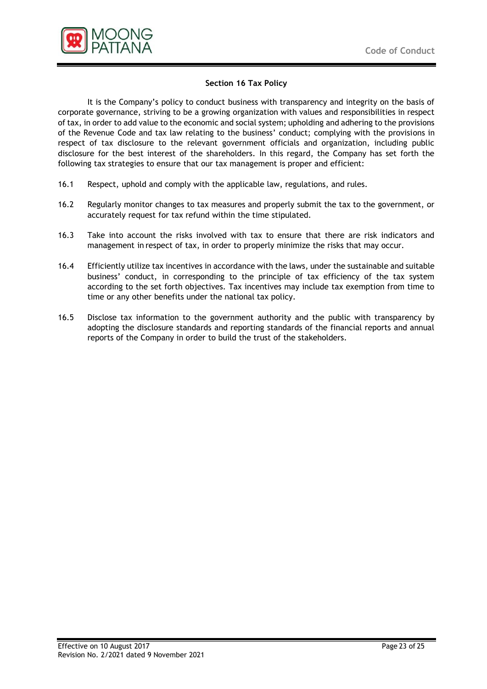

# **Section 16 Tax Policy**

It is the Company's policy to conduct business with transparency and integrity on the basis of corporate governance, striving to be a growing organization with values and responsibilities in respect of tax, in order to add value to the economic and social system; upholding and adhering to the provisions of the Revenue Code and tax law relating to the business' conduct; complying with the provisions in respect of tax disclosure to the relevant government officials and organization, including public disclosure for the best interest of the shareholders. In this regard, the Company has set forth the following tax strategies to ensure that our tax management is proper and efficient:

- 16.1 Respect, uphold and comply with the applicable law, regulations, and rules.
- 16.2 Regularly monitor changes to tax measures and properly submit the tax to the government, or accurately request for tax refund within the time stipulated.
- 16.3 Take into account the risks involved with tax to ensure that there are risk indicators and management in respect of tax, in order to properly minimize the risks that may occur.
- 16.4 Efficiently utilize tax incentives in accordance with the laws, under the sustainable and suitable business' conduct, in corresponding to the principle of tax efficiency of the tax system according to the set forth objectives. Tax incentives may include tax exemption from time to time or any other benefits under the national tax policy.
- 16.5 Disclose tax information to the government authority and the public with transparency by adopting the disclosure standards and reporting standards of the financial reports and annual reports of the Company in order to build the trust of the stakeholders.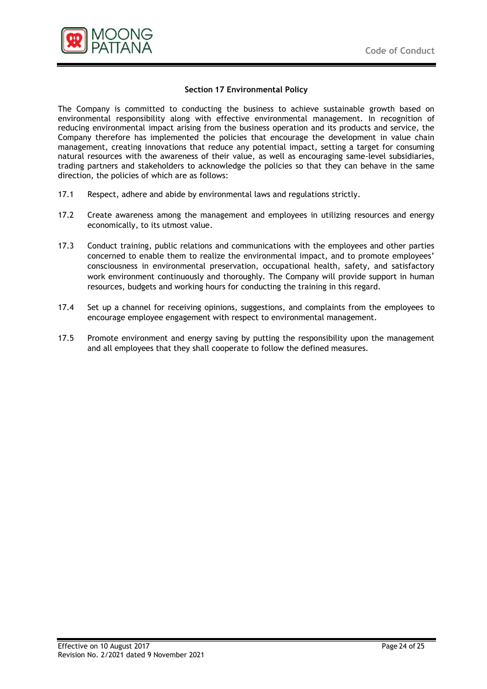

#### **Section 17 Environmental Policy**

The Company is committed to conducting the business to achieve sustainable growth based on environmental responsibility along with effective environmental management. In recognition of reducing environmental impact arising from the business operation and its products and service, the Company therefore has implemented the policies that encourage the development in value chain management, creating innovations that reduce any potential impact, setting a target for consuming natural resources with the awareness of their value, as well as encouraging same-level subsidiaries, trading partners and stakeholders to acknowledge the policies so that they can behave in the same direction, the policies of which are as follows:

- 17.1 Respect, adhere and abide by environmental laws and regulations strictly.
- 17.2 Create awareness among the management and employees in utilizing resources and energy economically, to its utmost value.
- 17.3 Conduct training, public relations and communications with the employees and other parties concerned to enable them to realize the environmental impact, and to promote employees' consciousness in environmental preservation, occupational health, safety, and satisfactory work environment continuously and thoroughly. The Company will provide support in human resources, budgets and working hours for conducting the training in this regard.
- 17.4 Set up a channel for receiving opinions, suggestions, and complaints from the employees to encourage employee engagement with respect to environmental management.
- 17.5 Promote environment and energy saving by putting the responsibility upon the management and all employees that they shall cooperate to follow the defined measures.